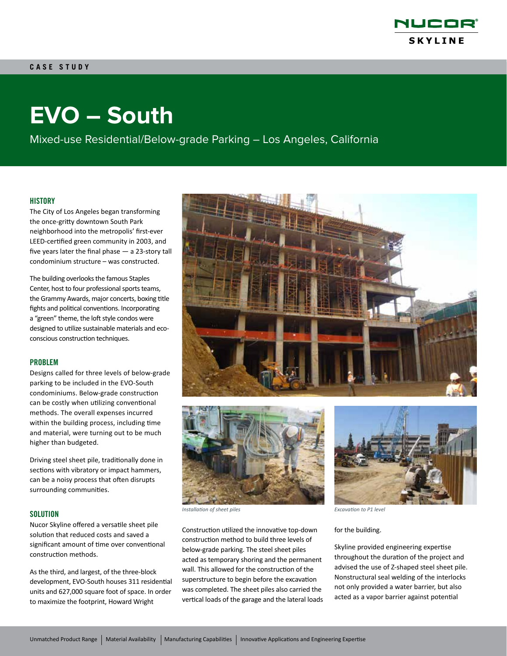

# **EVO – South**

Mixed-use Residential/Below-grade Parking – Los Angeles, California

# **HISTORY**

The City of Los Angeles began transforming the once-gritty downtown South Park neighborhood into the metropolis' first-ever LEED-certified green community in 2003, and five years later the final phase — a 23-story tall condominium structure – was constructed.

The building overlooks the famous Staples Center, host to four professional sports teams, the Grammy Awards, major concerts, boxing title fights and political conventions. Incorporating a "green" theme, the loft style condos were designed to utilize sustainable materials and ecoconscious construction techniques.

#### PROBLEM

Designs called for three levels of below-grade parking to be included in the EVO-South condominiums. Below-grade construction can be costly when utilizing conventional methods. The overall expenses incurred within the building process, including time and material, were turning out to be much higher than budgeted.

Driving steel sheet pile, traditionally done in sections with vibratory or impact hammers, can be a noisy process that often disrupts surrounding communities.

# **SOLUTION**

Nucor Skyline offered a versatile sheet pile solution that reduced costs and saved a significant amount of time over conventional construction methods.

As the third, and largest, of the three-block development, EVO-South houses 311 residential units and 627,000 square foot of space. In order to maximize the footprint, Howard Wright





*Installation of sheet piles Excavation to P1 level*

Construction utilized the innovative top-down construction method to build three levels of below-grade parking. The steel sheet piles acted as temporary shoring and the permanent wall. This allowed for the construction of the superstructure to begin before the excavation was completed. The sheet piles also carried the vertical loads of the garage and the lateral loads



#### for the building.

Skyline provided engineering expertise throughout the duration of the project and advised the use of Z-shaped steel sheet pile. Nonstructural seal welding of the interlocks not only provided a water barrier, but also acted as a vapor barrier against potential